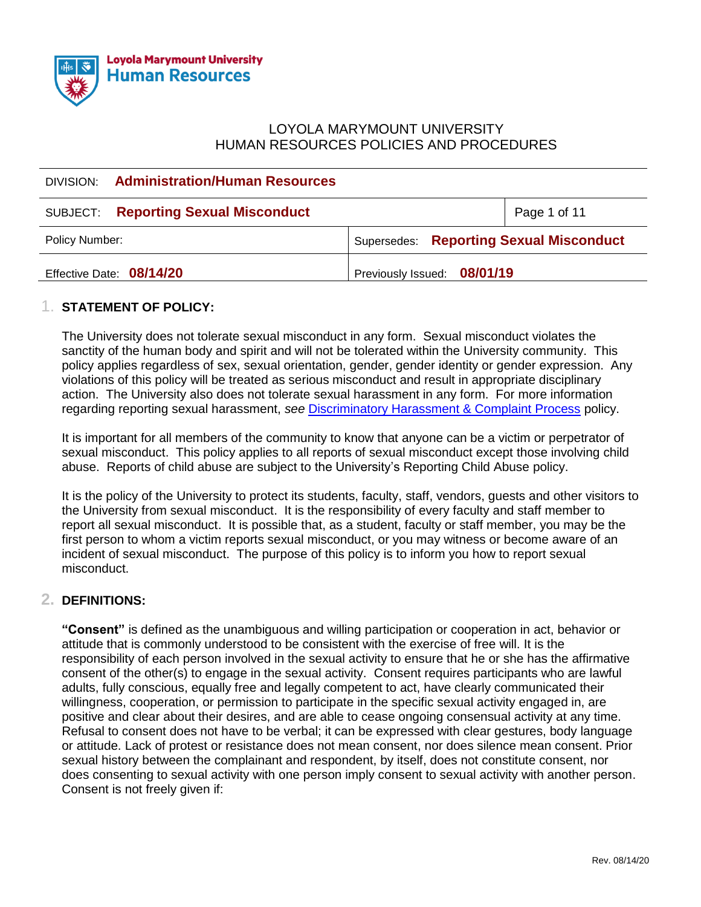

# LOYOLA MARYMOUNT UNIVERSITY HUMAN RESOURCES POLICIES AND PROCEDURES

|                          | <b>DIVISION:</b> Administration/Human Resources |                                                |              |
|--------------------------|-------------------------------------------------|------------------------------------------------|--------------|
|                          | <b>SUBJECT:</b> Reporting Sexual Misconduct     |                                                | Page 1 of 11 |
| Policy Number:           |                                                 | <b>Supersedes: Reporting Sexual Misconduct</b> |              |
| Effective Date: 08/14/20 |                                                 | Previously Issued: 08/01/19                    |              |

## 1. **STATEMENT OF POLICY:**

The University does not tolerate sexual misconduct in any form. Sexual misconduct violates the sanctity of the human body and spirit and will not be tolerated within the University community. This policy applies regardless of sex, sexual orientation, gender, gender identity or gender expression. Any violations of this policy will be treated as serious misconduct and result in appropriate disciplinary action. The University also does not tolerate sexual harassment in any form. For more information regarding reporting sexual harassment, *see* [Discriminatory Harassment & Complaint Process](https://admin.lmu.edu/media/admin/hr/policiesampprocedures-secure/Discrimination%20Harassment%20and%20Complaint%20Process-1.pdf) policy.

It is important for all members of the community to know that anyone can be a victim or perpetrator of sexual misconduct. This policy applies to all reports of sexual misconduct except those involving child abuse. Reports of child abuse are subject to the University's Reporting Child Abuse policy.

It is the policy of the University to protect its students, faculty, staff, vendors, guests and other visitors to the University from sexual misconduct. It is the responsibility of every faculty and staff member to report all sexual misconduct. It is possible that, as a student, faculty or staff member, you may be the first person to whom a victim reports sexual misconduct, or you may witness or become aware of an incident of sexual misconduct. The purpose of this policy is to inform you how to report sexual misconduct.

## **2. DEFINITIONS:**

**"Consent"** is defined as the unambiguous and willing participation or cooperation in act, behavior or attitude that is commonly understood to be consistent with the exercise of free will. It is the responsibility of each person involved in the sexual activity to ensure that he or she has the affirmative consent of the other(s) to engage in the sexual activity. Consent requires participants who are lawful adults, fully conscious, equally free and legally competent to act, have clearly communicated their willingness, cooperation, or permission to participate in the specific sexual activity engaged in, are positive and clear about their desires, and are able to cease ongoing consensual activity at any time. Refusal to consent does not have to be verbal; it can be expressed with clear gestures, body language or attitude. Lack of protest or resistance does not mean consent, nor does silence mean consent. Prior sexual history between the complainant and respondent, by itself, does not constitute consent, nor does consenting to sexual activity with one person imply consent to sexual activity with another person. Consent is not freely given if: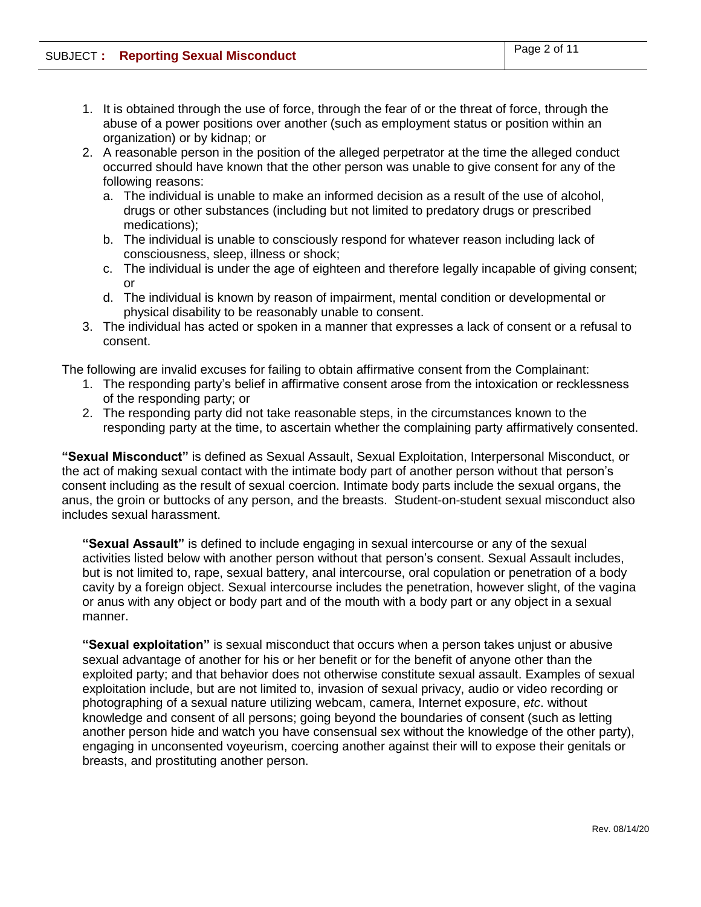- 1. It is obtained through the use of force, through the fear of or the threat of force, through the abuse of a power positions over another (such as employment status or position within an organization) or by kidnap; or
- 2. A reasonable person in the position of the alleged perpetrator at the time the alleged conduct occurred should have known that the other person was unable to give consent for any of the following reasons:
	- a. The individual is unable to make an informed decision as a result of the use of alcohol, drugs or other substances (including but not limited to predatory drugs or prescribed medications);
	- b. The individual is unable to consciously respond for whatever reason including lack of consciousness, sleep, illness or shock;
	- c. The individual is under the age of eighteen and therefore legally incapable of giving consent; or
	- d. The individual is known by reason of impairment, mental condition or developmental or physical disability to be reasonably unable to consent.
- 3. The individual has acted or spoken in a manner that expresses a lack of consent or a refusal to consent.

The following are invalid excuses for failing to obtain affirmative consent from the Complainant:

- 1. The responding party's belief in affirmative consent arose from the intoxication or recklessness of the responding party; or
- 2. The responding party did not take reasonable steps, in the circumstances known to the responding party at the time, to ascertain whether the complaining party affirmatively consented.

**"Sexual Misconduct"** is defined as Sexual Assault, Sexual Exploitation, Interpersonal Misconduct, or the act of making sexual contact with the intimate body part of another person without that person's consent including as the result of sexual coercion. Intimate body parts include the sexual organs, the anus, the groin or buttocks of any person, and the breasts. Student-on-student sexual misconduct also includes sexual harassment.

**"Sexual Assault"** is defined to include engaging in sexual intercourse or any of the sexual activities listed below with another person without that person's consent. Sexual Assault includes, but is not limited to, rape, sexual battery, anal intercourse, oral copulation or penetration of a body cavity by a foreign object. Sexual intercourse includes the penetration, however slight, of the vagina or anus with any object or body part and of the mouth with a body part or any object in a sexual manner.

**"Sexual exploitation"** is sexual misconduct that occurs when a person takes unjust or abusive sexual advantage of another for his or her benefit or for the benefit of anyone other than the exploited party; and that behavior does not otherwise constitute sexual assault. Examples of sexual exploitation include, but are not limited to, invasion of sexual privacy, audio or video recording or photographing of a sexual nature utilizing webcam, camera, Internet exposure, *etc*. without knowledge and consent of all persons; going beyond the boundaries of consent (such as letting another person hide and watch you have consensual sex without the knowledge of the other party), engaging in unconsented voyeurism, coercing another against their will to expose their genitals or breasts, and prostituting another person.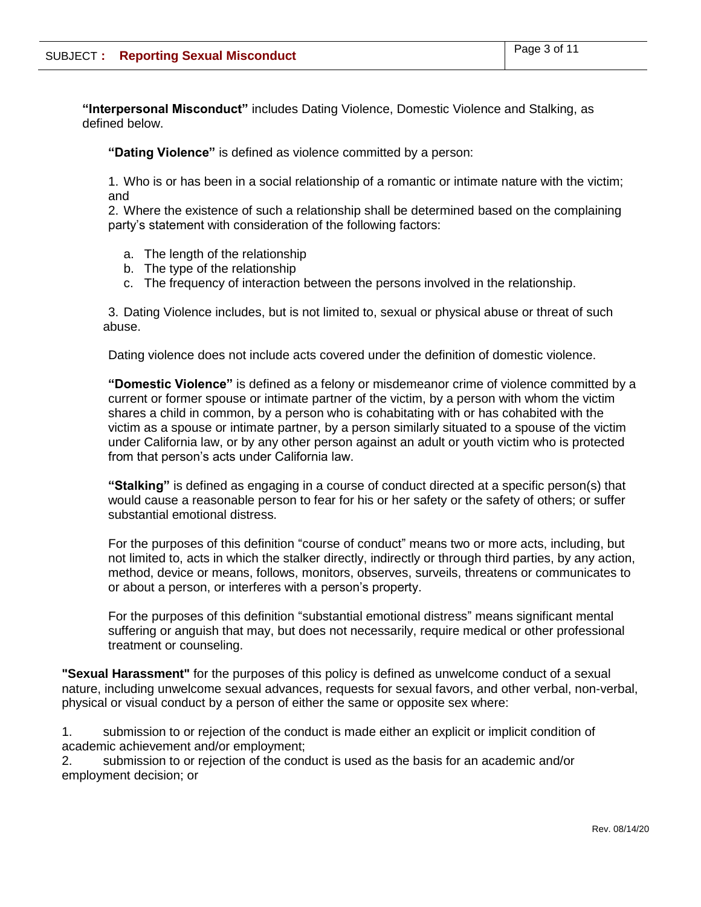**"Interpersonal Misconduct"** includes Dating Violence, Domestic Violence and Stalking, as defined below.

**"Dating Violence"** is defined as violence committed by a person:

1. Who is or has been in a social relationship of a romantic or intimate nature with the victim; and

2. Where the existence of such a relationship shall be determined based on the complaining party's statement with consideration of the following factors:

- a. The length of the relationship
- b. The type of the relationship
- c. The frequency of interaction between the persons involved in the relationship.

3. Dating Violence includes, but is not limited to, sexual or physical abuse or threat of such abuse.

Dating violence does not include acts covered under the definition of domestic violence.

**"Domestic Violence"** is defined as a felony or misdemeanor crime of violence committed by a current or former spouse or intimate partner of the victim, by a person with whom the victim shares a child in common, by a person who is cohabitating with or has cohabited with the victim as a spouse or intimate partner, by a person similarly situated to a spouse of the victim under California law, or by any other person against an adult or youth victim who is protected from that person's acts under California law.

**"Stalking"** is defined as engaging in a course of conduct directed at a specific person(s) that would cause a reasonable person to fear for his or her safety or the safety of others; or suffer substantial emotional distress.

For the purposes of this definition "course of conduct" means two or more acts, including, but not limited to, acts in which the stalker directly, indirectly or through third parties, by any action, method, device or means, follows, monitors, observes, surveils, threatens or communicates to or about a person, or interferes with a person's property.

For the purposes of this definition "substantial emotional distress" means significant mental suffering or anguish that may, but does not necessarily, require medical or other professional treatment or counseling.

**"Sexual Harassment"** for the purposes of this policy is defined as unwelcome conduct of a sexual nature, including unwelcome sexual advances, requests for sexual favors, and other verbal, non-verbal, physical or visual conduct by a person of either the same or opposite sex where:

1. submission to or rejection of the conduct is made either an explicit or implicit condition of academic achievement and/or employment;

2. submission to or rejection of the conduct is used as the basis for an academic and/or employment decision; or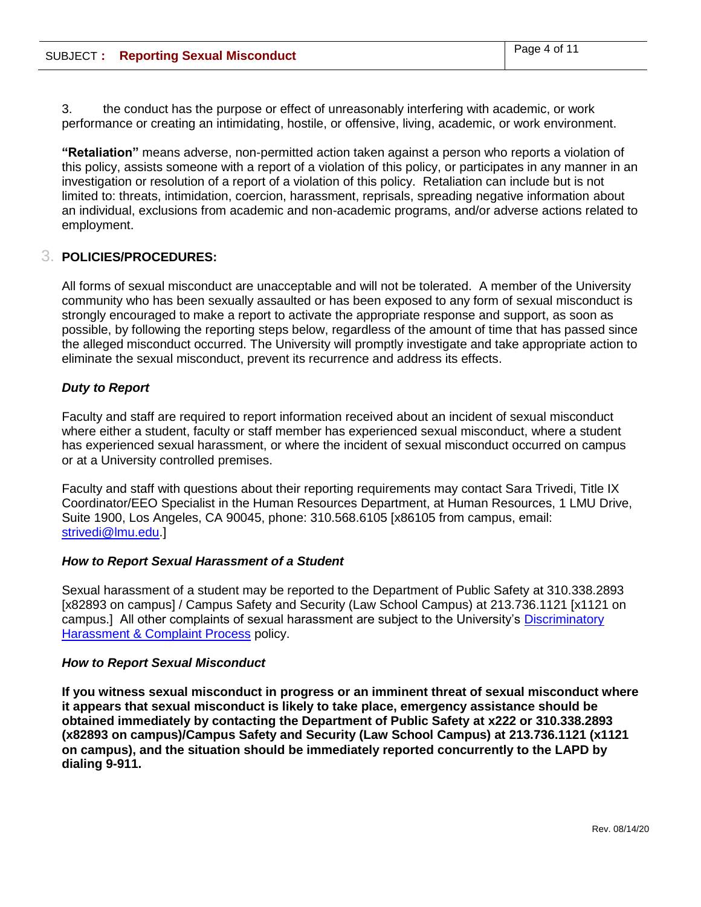3. the conduct has the purpose or effect of unreasonably interfering with academic, or work performance or creating an intimidating, hostile, or offensive, living, academic, or work environment.

**"Retaliation"** means adverse, non-permitted action taken against a person who reports a violation of this policy, assists someone with a report of a violation of this policy, or participates in any manner in an investigation or resolution of a report of a violation of this policy. Retaliation can include but is not limited to: threats, intimidation, coercion, harassment, reprisals, spreading negative information about an individual, exclusions from academic and non-academic programs, and/or adverse actions related to employment.

## 3. **POLICIES/PROCEDURES:**

All forms of sexual misconduct are unacceptable and will not be tolerated. A member of the University community who has been sexually assaulted or has been exposed to any form of sexual misconduct is strongly encouraged to make a report to activate the appropriate response and support, as soon as possible, by following the reporting steps below, regardless of the amount of time that has passed since the alleged misconduct occurred. The University will promptly investigate and take appropriate action to eliminate the sexual misconduct, prevent its recurrence and address its effects.

## *Duty to Report*

Faculty and staff are required to report information received about an incident of sexual misconduct where either a student, faculty or staff member has experienced sexual misconduct, where a student has experienced sexual harassment, or where the incident of sexual misconduct occurred on campus or at a University controlled premises.

Faculty and staff with questions about their reporting requirements may contact Sara Trivedi, Title IX Coordinator/EEO Specialist in the Human Resources Department, at Human Resources, 1 LMU Drive, Suite 1900, Los Angeles, CA 90045, phone: 310.568.6105 [x86105 from campus, email: [strivedi@lmu.edu.](mailto:strivedi@lmu.edu)]

### *How to Report Sexual Harassment of a Student*

Sexual harassment of a student may be reported to the Department of Public Safety at 310.338.2893 [x82893 on campus] / Campus Safety and Security (Law School Campus) at 213.736.1121 [x1121 on campus.] All other complaints of sexual harassment are subject to the University's Discriminatory [Harassment & Complaint Process](https://admin.lmu.edu/media/admin/hr/policiesampprocedures-secure/Discrimination%20Harassment%20and%20Complaint%20Process-1.pdf) policy.

### *How to Report Sexual Misconduct*

**If you witness sexual misconduct in progress or an imminent threat of sexual misconduct where it appears that sexual misconduct is likely to take place, emergency assistance should be obtained immediately by contacting the Department of Public Safety at x222 or 310.338.2893 (x82893 on campus)/Campus Safety and Security (Law School Campus) at 213.736.1121 (x1121 on campus), and the situation should be immediately reported concurrently to the LAPD by dialing 9-911.**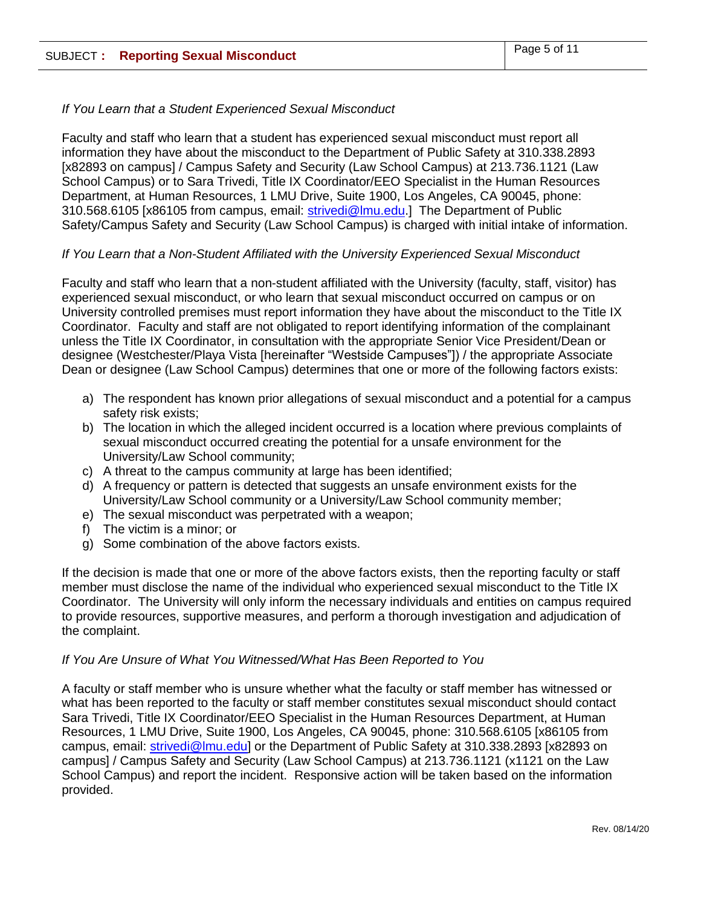### *If You Learn that a Student Experienced Sexual Misconduct*

Faculty and staff who learn that a student has experienced sexual misconduct must report all information they have about the misconduct to the Department of Public Safety at 310.338.2893 [x82893 on campus] / Campus Safety and Security (Law School Campus) at 213.736.1121 (Law School Campus) or to Sara Trivedi, Title IX Coordinator/EEO Specialist in the Human Resources Department, at Human Resources, 1 LMU Drive, Suite 1900, Los Angeles, CA 90045, phone: 310.568.6105 [x86105 from campus, email: [strivedi@lmu.edu.](mailto:strivedi@lmu.edu)] The Department of Public Safety/Campus Safety and Security (Law School Campus) is charged with initial intake of information.

### *If You Learn that a Non-Student Affiliated with the University Experienced Sexual Misconduct*

Faculty and staff who learn that a non-student affiliated with the University (faculty, staff, visitor) has experienced sexual misconduct, or who learn that sexual misconduct occurred on campus or on University controlled premises must report information they have about the misconduct to the Title IX Coordinator. Faculty and staff are not obligated to report identifying information of the complainant unless the Title IX Coordinator, in consultation with the appropriate Senior Vice President/Dean or designee (Westchester/Playa Vista [hereinafter "Westside Campuses"]) / the appropriate Associate Dean or designee (Law School Campus) determines that one or more of the following factors exists:

- a) The respondent has known prior allegations of sexual misconduct and a potential for a campus safety risk exists;
- b) The location in which the alleged incident occurred is a location where previous complaints of sexual misconduct occurred creating the potential for a unsafe environment for the University/Law School community;
- c) A threat to the campus community at large has been identified;
- d) A frequency or pattern is detected that suggests an unsafe environment exists for the University/Law School community or a University/Law School community member;
- e) The sexual misconduct was perpetrated with a weapon;
- f) The victim is a minor; or
- g) Some combination of the above factors exists.

If the decision is made that one or more of the above factors exists, then the reporting faculty or staff member must disclose the name of the individual who experienced sexual misconduct to the Title IX Coordinator. The University will only inform the necessary individuals and entities on campus required to provide resources, supportive measures, and perform a thorough investigation and adjudication of the complaint.

### *If You Are Unsure of What You Witnessed/What Has Been Reported to You*

A faculty or staff member who is unsure whether what the faculty or staff member has witnessed or what has been reported to the faculty or staff member constitutes sexual misconduct should contact Sara Trivedi, Title IX Coordinator/EEO Specialist in the Human Resources Department, at Human Resources, 1 LMU Drive, Suite 1900, Los Angeles, CA 90045, phone: 310.568.6105 [x86105 from campus, email: [strivedi@lmu.edu\]](mailto:strivedi@lmu.edu) or the Department of Public Safety at 310.338.2893 [x82893 on campus] / Campus Safety and Security (Law School Campus) at 213.736.1121 (x1121 on the Law School Campus) and report the incident. Responsive action will be taken based on the information provided.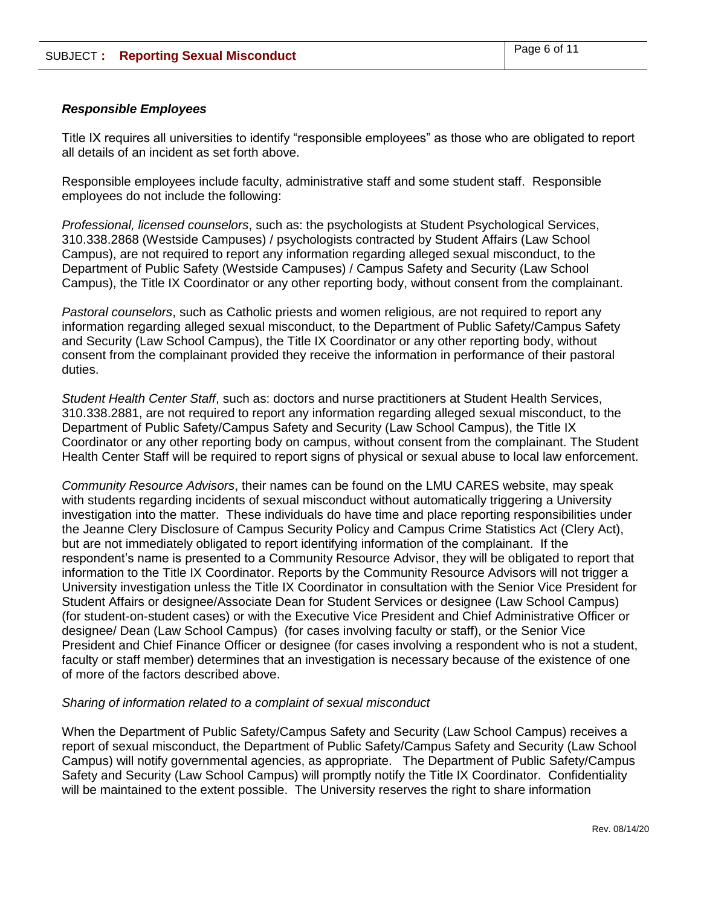## *Responsible Employees*

Title IX requires all universities to identify "responsible employees" as those who are obligated to report all details of an incident as set forth above.

Responsible employees include faculty, administrative staff and some student staff. Responsible employees do not include the following:

*Professional, licensed counselors*, such as: the psychologists at Student Psychological Services, 310.338.2868 (Westside Campuses) / psychologists contracted by Student Affairs (Law School Campus), are not required to report any information regarding alleged sexual misconduct, to the Department of Public Safety (Westside Campuses) / Campus Safety and Security (Law School Campus), the Title IX Coordinator or any other reporting body, without consent from the complainant.

*Pastoral counselors*, such as Catholic priests and women religious, are not required to report any information regarding alleged sexual misconduct, to the Department of Public Safety/Campus Safety and Security (Law School Campus), the Title IX Coordinator or any other reporting body, without consent from the complainant provided they receive the information in performance of their pastoral duties.

*Student Health Center Staff*, such as: doctors and nurse practitioners at Student Health Services, 310.338.2881, are not required to report any information regarding alleged sexual misconduct, to the Department of Public Safety/Campus Safety and Security (Law School Campus), the Title IX Coordinator or any other reporting body on campus, without consent from the complainant. The Student Health Center Staff will be required to report signs of physical or sexual abuse to local law enforcement.

*Community Resource Advisors*, their names can be found on the LMU CARES website, may speak with students regarding incidents of sexual misconduct without automatically triggering a University investigation into the matter. These individuals do have time and place reporting responsibilities under the Jeanne Clery Disclosure of Campus Security Policy and Campus Crime Statistics Act (Clery Act), but are not immediately obligated to report identifying information of the complainant. If the respondent's name is presented to a Community Resource Advisor, they will be obligated to report that information to the Title IX Coordinator. Reports by the Community Resource Advisors will not trigger a University investigation unless the Title IX Coordinator in consultation with the Senior Vice President for Student Affairs or designee/Associate Dean for Student Services or designee (Law School Campus) (for student-on-student cases) or with the Executive Vice President and Chief Administrative Officer or designee/ Dean (Law School Campus) (for cases involving faculty or staff), or the Senior Vice President and Chief Finance Officer or designee (for cases involving a respondent who is not a student, faculty or staff member) determines that an investigation is necessary because of the existence of one of more of the factors described above.

### *Sharing of information related to a complaint of sexual misconduct*

When the Department of Public Safety/Campus Safety and Security (Law School Campus) receives a report of sexual misconduct, the Department of Public Safety/Campus Safety and Security (Law School Campus) will notify governmental agencies, as appropriate. The Department of Public Safety/Campus Safety and Security (Law School Campus) will promptly notify the Title IX Coordinator. Confidentiality will be maintained to the extent possible. The University reserves the right to share information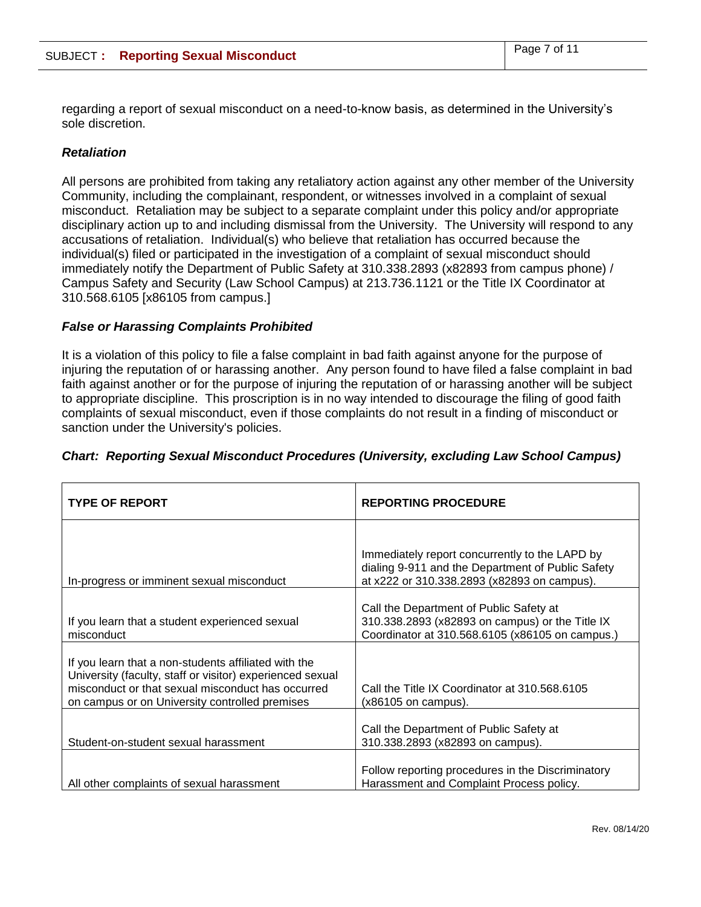regarding a report of sexual misconduct on a need-to-know basis, as determined in the University's sole discretion.

## *Retaliation*

All persons are prohibited from taking any retaliatory action against any other member of the University Community, including the complainant, respondent, or witnesses involved in a complaint of sexual misconduct. Retaliation may be subject to a separate complaint under this policy and/or appropriate disciplinary action up to and including dismissal from the University. The University will respond to any accusations of retaliation. Individual(s) who believe that retaliation has occurred because the individual(s) filed or participated in the investigation of a complaint of sexual misconduct should immediately notify the Department of Public Safety at 310.338.2893 (x82893 from campus phone) / Campus Safety and Security (Law School Campus) at 213.736.1121 or the Title IX Coordinator at 310.568.6105 [x86105 from campus.]

### *False or Harassing Complaints Prohibited*

It is a violation of this policy to file a false complaint in bad faith against anyone for the purpose of injuring the reputation of or harassing another. Any person found to have filed a false complaint in bad faith against another or for the purpose of injuring the reputation of or harassing another will be subject to appropriate discipline. This proscription is in no way intended to discourage the filing of good faith complaints of sexual misconduct, even if those complaints do not result in a finding of misconduct or sanction under the University's policies.

| <b>TYPE OF REPORT</b>                                                                                                                                                                                                    | <b>REPORTING PROCEDURE</b>                                                                                                                    |  |
|--------------------------------------------------------------------------------------------------------------------------------------------------------------------------------------------------------------------------|-----------------------------------------------------------------------------------------------------------------------------------------------|--|
|                                                                                                                                                                                                                          | Immediately report concurrently to the LAPD by<br>dialing 9-911 and the Department of Public Safety                                           |  |
| In-progress or imminent sexual misconduct                                                                                                                                                                                | at x222 or 310.338.2893 (x82893 on campus).                                                                                                   |  |
| If you learn that a student experienced sexual<br>misconduct                                                                                                                                                             | Call the Department of Public Safety at<br>310.338.2893 (x82893 on campus) or the Title IX<br>Coordinator at 310.568.6105 (x86105 on campus.) |  |
| If you learn that a non-students affiliated with the<br>University (faculty, staff or visitor) experienced sexual<br>misconduct or that sexual misconduct has occurred<br>on campus or on University controlled premises | Call the Title IX Coordinator at 310.568.6105<br>(x86105 on campus).                                                                          |  |
| Student-on-student sexual harassment                                                                                                                                                                                     | Call the Department of Public Safety at<br>310.338.2893 (x82893 on campus).                                                                   |  |
| All other complaints of sexual harassment                                                                                                                                                                                | Follow reporting procedures in the Discriminatory<br>Harassment and Complaint Process policy.                                                 |  |

### *Chart: Reporting Sexual Misconduct Procedures (University, excluding Law School Campus)*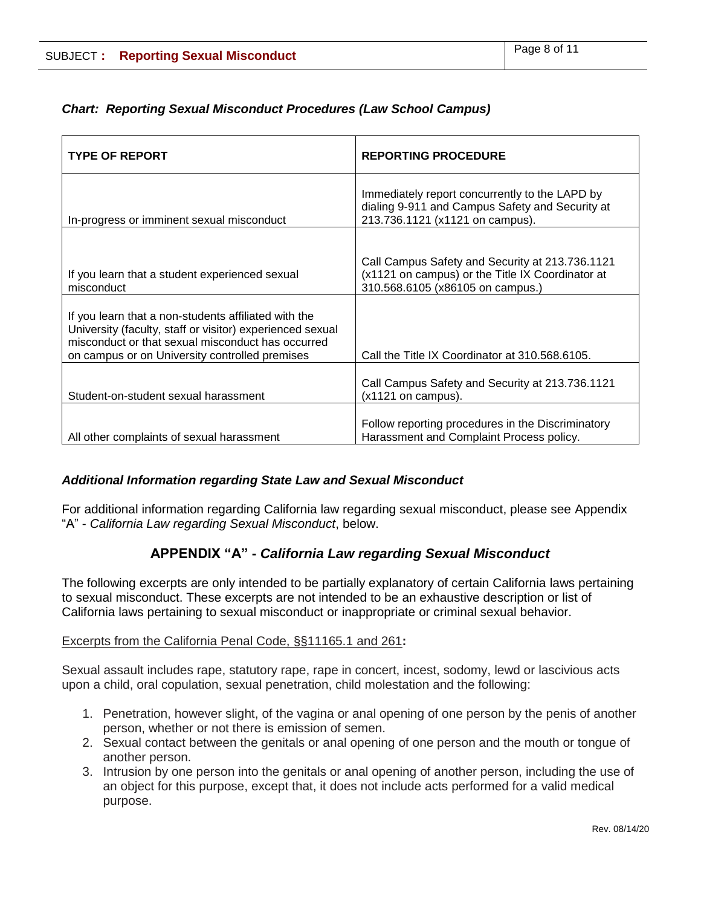## *Chart: Reporting Sexual Misconduct Procedures (Law School Campus)*

| <b>TYPE OF REPORT</b>                                                                                                                                                                                                    | <b>REPORTING PROCEDURE</b>                                                                                                              |
|--------------------------------------------------------------------------------------------------------------------------------------------------------------------------------------------------------------------------|-----------------------------------------------------------------------------------------------------------------------------------------|
| In-progress or imminent sexual misconduct                                                                                                                                                                                | Immediately report concurrently to the LAPD by<br>dialing 9-911 and Campus Safety and Security at<br>213.736.1121 (x1121 on campus).    |
| If you learn that a student experienced sexual<br>misconduct                                                                                                                                                             | Call Campus Safety and Security at 213.736.1121<br>(x1121 on campus) or the Title IX Coordinator at<br>310.568.6105 (x86105 on campus.) |
| If you learn that a non-students affiliated with the<br>University (faculty, staff or visitor) experienced sexual<br>misconduct or that sexual misconduct has occurred<br>on campus or on University controlled premises | Call the Title IX Coordinator at 310.568.6105.                                                                                          |
| Student-on-student sexual harassment                                                                                                                                                                                     | Call Campus Safety and Security at 213.736.1121<br>$(x1121$ on campus).                                                                 |
| All other complaints of sexual harassment                                                                                                                                                                                | Follow reporting procedures in the Discriminatory<br>Harassment and Complaint Process policy.                                           |

## *Additional Information regarding State Law and Sexual Misconduct*

For additional information regarding California law regarding sexual misconduct, please see Appendix "A" - *California Law regarding Sexual Misconduct*, below.

# **APPENDIX "A" -** *California Law regarding Sexual Misconduct*

The following excerpts are only intended to be partially explanatory of certain California laws pertaining to sexual misconduct. These excerpts are not intended to be an exhaustive description or list of California laws pertaining to sexual misconduct or inappropriate or criminal sexual behavior.

### Excerpts from the California Penal Code, §§11165.1 and 261**:**

Sexual assault includes rape, statutory rape, rape in concert, incest, sodomy, lewd or lascivious acts upon a child, oral copulation, sexual penetration, child molestation and the following:

- 1. Penetration, however slight, of the vagina or anal opening of one person by the penis of another person, whether or not there is emission of semen.
- 2. Sexual contact between the genitals or anal opening of one person and the mouth or tongue of another person.
- 3. Intrusion by one person into the genitals or anal opening of another person, including the use of an object for this purpose, except that, it does not include acts performed for a valid medical purpose.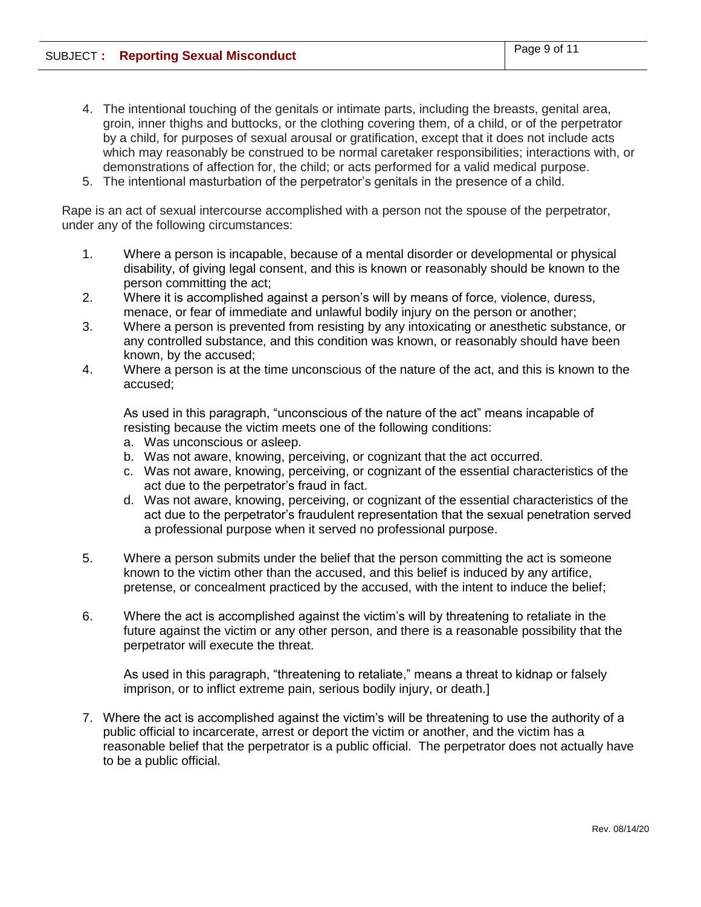- 4. The intentional touching of the genitals or intimate parts, including the breasts, genital area, groin, inner thighs and buttocks, or the clothing covering them, of a child, or of the perpetrator by a child, for purposes of sexual arousal or gratification, except that it does not include acts which may reasonably be construed to be normal caretaker responsibilities; interactions with, or demonstrations of affection for, the child; or acts performed for a valid medical purpose.
- 5. The intentional masturbation of the perpetrator's genitals in the presence of a child.

Rape is an act of sexual intercourse accomplished with a person not the spouse of the perpetrator, under any of the following circumstances:

- 1. Where a person is incapable, because of a mental disorder or developmental or physical disability, of giving legal consent, and this is known or reasonably should be known to the person committing the act;
- 2. Where it is accomplished against a person's will by means of force, violence, duress, menace, or fear of immediate and unlawful bodily injury on the person or another;
- 3. Where a person is prevented from resisting by any intoxicating or anesthetic substance, or any controlled substance, and this condition was known, or reasonably should have been known, by the accused;
- 4. Where a person is at the time unconscious of the nature of the act, and this is known to the accused;

As used in this paragraph, "unconscious of the nature of the act" means incapable of resisting because the victim meets one of the following conditions:

- a. Was unconscious or asleep.
- b. Was not aware, knowing, perceiving, or cognizant that the act occurred.
- c. Was not aware, knowing, perceiving, or cognizant of the essential characteristics of the act due to the perpetrator's fraud in fact.
- d. Was not aware, knowing, perceiving, or cognizant of the essential characteristics of the act due to the perpetrator's fraudulent representation that the sexual penetration served a professional purpose when it served no professional purpose.
- 5. Where a person submits under the belief that the person committing the act is someone known to the victim other than the accused, and this belief is induced by any artifice, pretense, or concealment practiced by the accused, with the intent to induce the belief;
- 6. Where the act is accomplished against the victim's will by threatening to retaliate in the future against the victim or any other person, and there is a reasonable possibility that the perpetrator will execute the threat.

As used in this paragraph, "threatening to retaliate," means a threat to kidnap or falsely imprison, or to inflict extreme pain, serious bodily injury, or death.]

7. Where the act is accomplished against the victim's will be threatening to use the authority of a public official to incarcerate, arrest or deport the victim or another, and the victim has a reasonable belief that the perpetrator is a public official. The perpetrator does not actually have to be a public official.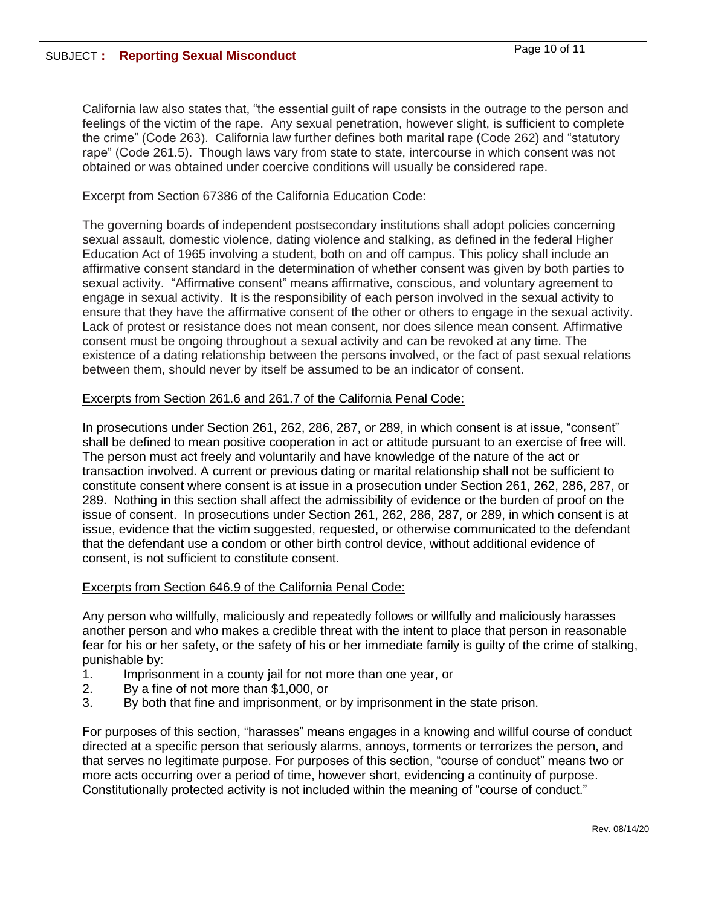California law also states that, "the essential guilt of rape consists in the outrage to the person and feelings of the victim of the rape. Any sexual penetration, however slight, is sufficient to complete the crime" (Code 263). California law further defines both marital rape (Code 262) and "statutory rape" (Code 261.5). Though laws vary from state to state, intercourse in which consent was not obtained or was obtained under coercive conditions will usually be considered rape.

Excerpt from Section 67386 of the California Education Code:

The governing boards of independent postsecondary institutions shall adopt policies concerning sexual assault, domestic violence, dating violence and stalking, as defined in the federal Higher Education Act of 1965 involving a student, both on and off campus. This policy shall include an affirmative consent standard in the determination of whether consent was given by both parties to sexual activity. "Affirmative consent" means affirmative, conscious, and voluntary agreement to engage in sexual activity. It is the responsibility of each person involved in the sexual activity to ensure that they have the affirmative consent of the other or others to engage in the sexual activity. Lack of protest or resistance does not mean consent, nor does silence mean consent. Affirmative consent must be ongoing throughout a sexual activity and can be revoked at any time. The existence of a dating relationship between the persons involved, or the fact of past sexual relations between them, should never by itself be assumed to be an indicator of consent.

## Excerpts from Section 261.6 and 261.7 of the California Penal Code:

In prosecutions under Section 261, 262, 286, 287, or 289, in which consent is at issue, "consent" shall be defined to mean positive cooperation in act or attitude pursuant to an exercise of free will. The person must act freely and voluntarily and have knowledge of the nature of the act or transaction involved. A current or previous dating or marital relationship shall not be sufficient to constitute consent where consent is at issue in a prosecution under Section 261, 262, 286, 287, or 289. Nothing in this section shall affect the admissibility of evidence or the burden of proof on the issue of consent. In prosecutions under Section 261, 262, 286, 287, or 289, in which consent is at issue, evidence that the victim suggested, requested, or otherwise communicated to the defendant that the defendant use a condom or other birth control device, without additional evidence of consent, is not sufficient to constitute consent.

### Excerpts from Section 646.9 of the California Penal Code:

Any person who willfully, maliciously and repeatedly follows or willfully and maliciously harasses another person and who makes a credible threat with the intent to place that person in reasonable fear for his or her safety, or the safety of his or her immediate family is guilty of the crime of stalking, punishable by:

- 1. Imprisonment in a county jail for not more than one year, or
- 2. By a fine of not more than \$1,000, or
- 3. By both that fine and imprisonment, or by imprisonment in the state prison.

For purposes of this section, "harasses" means engages in a knowing and willful course of conduct directed at a specific person that seriously alarms, annoys, torments or terrorizes the person, and that serves no legitimate purpose. For purposes of this section, "course of conduct" means two or more acts occurring over a period of time, however short, evidencing a continuity of purpose. Constitutionally protected activity is not included within the meaning of "course of conduct."